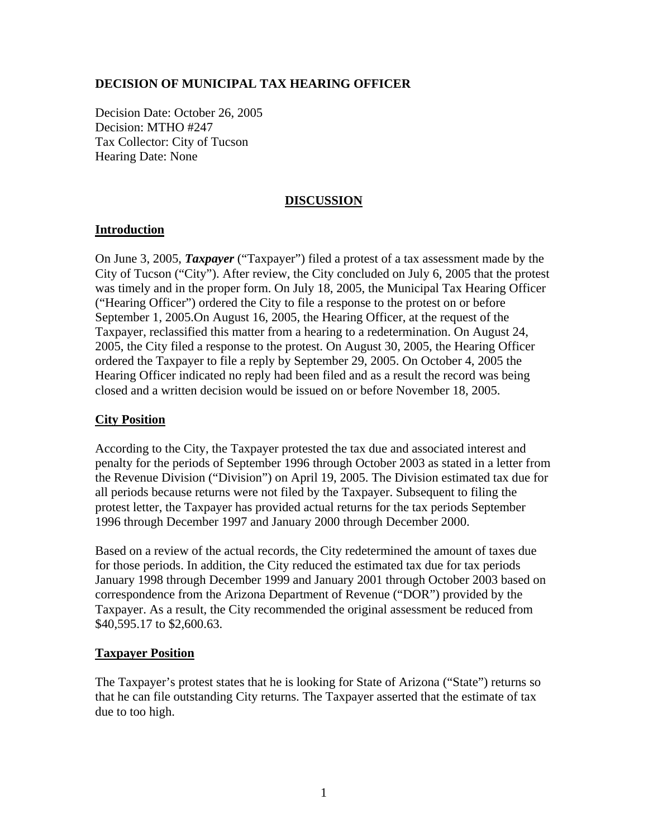## **DECISION OF MUNICIPAL TAX HEARING OFFICER**

Decision Date: October 26, 2005 Decision: MTHO #247 Tax Collector: City of Tucson Hearing Date: None

#### **DISCUSSION**

## **Introduction**

On June 3, 2005, *Taxpayer* ("Taxpayer") filed a protest of a tax assessment made by the City of Tucson ("City"). After review, the City concluded on July 6, 2005 that the protest was timely and in the proper form. On July 18, 2005, the Municipal Tax Hearing Officer ("Hearing Officer") ordered the City to file a response to the protest on or before September 1, 2005.On August 16, 2005, the Hearing Officer, at the request of the Taxpayer, reclassified this matter from a hearing to a redetermination. On August 24, 2005, the City filed a response to the protest. On August 30, 2005, the Hearing Officer ordered the Taxpayer to file a reply by September 29, 2005. On October 4, 2005 the Hearing Officer indicated no reply had been filed and as a result the record was being closed and a written decision would be issued on or before November 18, 2005.

## **City Position**

According to the City, the Taxpayer protested the tax due and associated interest and penalty for the periods of September 1996 through October 2003 as stated in a letter from the Revenue Division ("Division") on April 19, 2005. The Division estimated tax due for all periods because returns were not filed by the Taxpayer. Subsequent to filing the protest letter, the Taxpayer has provided actual returns for the tax periods September 1996 through December 1997 and January 2000 through December 2000.

Based on a review of the actual records, the City redetermined the amount of taxes due for those periods. In addition, the City reduced the estimated tax due for tax periods January 1998 through December 1999 and January 2001 through October 2003 based on correspondence from the Arizona Department of Revenue ("DOR") provided by the Taxpayer. As a result, the City recommended the original assessment be reduced from \$40,595.17 to \$2,600.63.

#### **Taxpayer Position**

The Taxpayer's protest states that he is looking for State of Arizona ("State") returns so that he can file outstanding City returns. The Taxpayer asserted that the estimate of tax due to too high.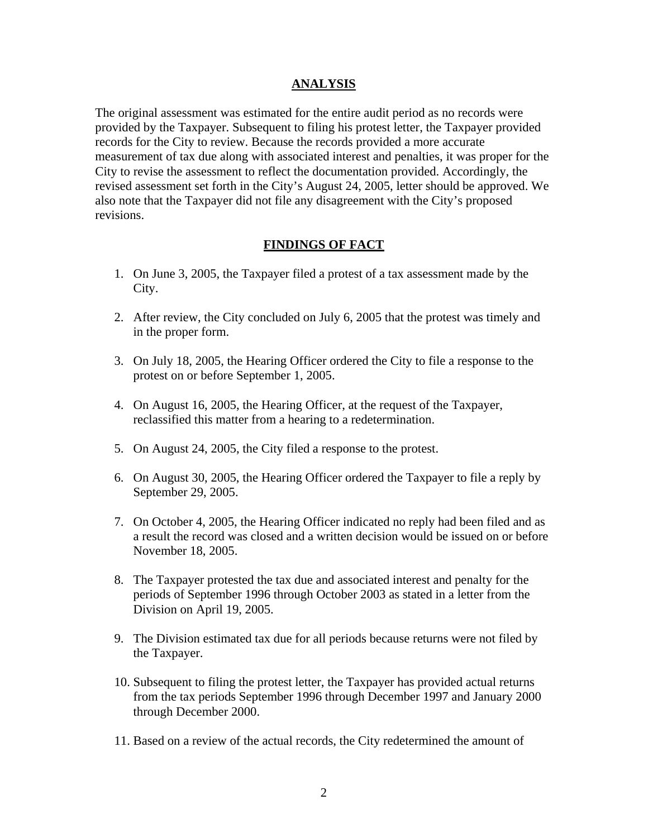#### **ANALYSIS**

The original assessment was estimated for the entire audit period as no records were provided by the Taxpayer. Subsequent to filing his protest letter, the Taxpayer provided records for the City to review. Because the records provided a more accurate measurement of tax due along with associated interest and penalties, it was proper for the City to revise the assessment to reflect the documentation provided. Accordingly, the revised assessment set forth in the City's August 24, 2005, letter should be approved. We also note that the Taxpayer did not file any disagreement with the City's proposed revisions.

#### **FINDINGS OF FACT**

- 1. On June 3, 2005, the Taxpayer filed a protest of a tax assessment made by the City.
- 2. After review, the City concluded on July 6, 2005 that the protest was timely and in the proper form.
- 3. On July 18, 2005, the Hearing Officer ordered the City to file a response to the protest on or before September 1, 2005.
- 4. On August 16, 2005, the Hearing Officer, at the request of the Taxpayer, reclassified this matter from a hearing to a redetermination.
- 5. On August 24, 2005, the City filed a response to the protest.
- 6. On August 30, 2005, the Hearing Officer ordered the Taxpayer to file a reply by September 29, 2005.
- 7. On October 4, 2005, the Hearing Officer indicated no reply had been filed and as a result the record was closed and a written decision would be issued on or before November 18, 2005.
- 8. The Taxpayer protested the tax due and associated interest and penalty for the periods of September 1996 through October 2003 as stated in a letter from the Division on April 19, 2005.
- 9. The Division estimated tax due for all periods because returns were not filed by the Taxpayer.
- 10. Subsequent to filing the protest letter, the Taxpayer has provided actual returns from the tax periods September 1996 through December 1997 and January 2000 through December 2000.
- 11. Based on a review of the actual records, the City redetermined the amount of